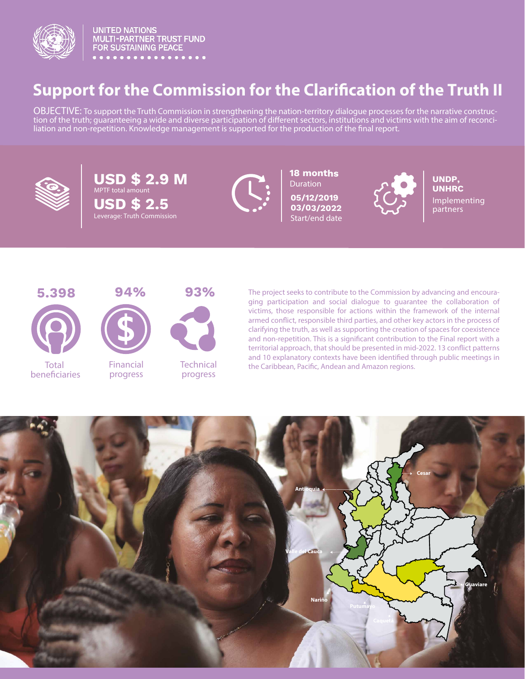

**UNITED NATIONS** MULTI-PARTNER TRUST FUND<br>FOR SUSTAINING PEACE

# **Support for the Commission for the Clarification of the Truth II**

OBJECTIVE: To support the Truth Commission in strengthening the nation-territory dialogue processes for the narrative construction of the truth; guaranteeing a wide and diverse participation of different sectors, institutions and victims with the aim of reconciliation and non-repetition. Knowledge management is supported for the production of the final report.



**USD \$ 2.9 M USD \$ 2.5** Leverage: Truth Commission



**18 months Duration** 

**05/12/2019** Start/end date



**05/12/2019**<br>**03/03/2022 CONFIDENTIAL DATTACK** partners **UNDP, UNHRC**





Total beneficiaries



Financial progress



Technical progress

The project seeks to contribute to the Commission by advancing and encouraging participation and social dialogue to guarantee the collaboration of victims, those responsible for actions within the framework of the internal armed conflict, responsible third parties, and other key actors in the process of clarifying the truth, as well as supporting the creation of spaces for coexistence and non-repetition. This is a significant contribution to the Final report with a territorial approach, that should be presented in mid-2022. 13 conflict patterns and 10 explanatory contexts have been identified through public meetings in the Caribbean, Pacific, Andean and Amazon regions.